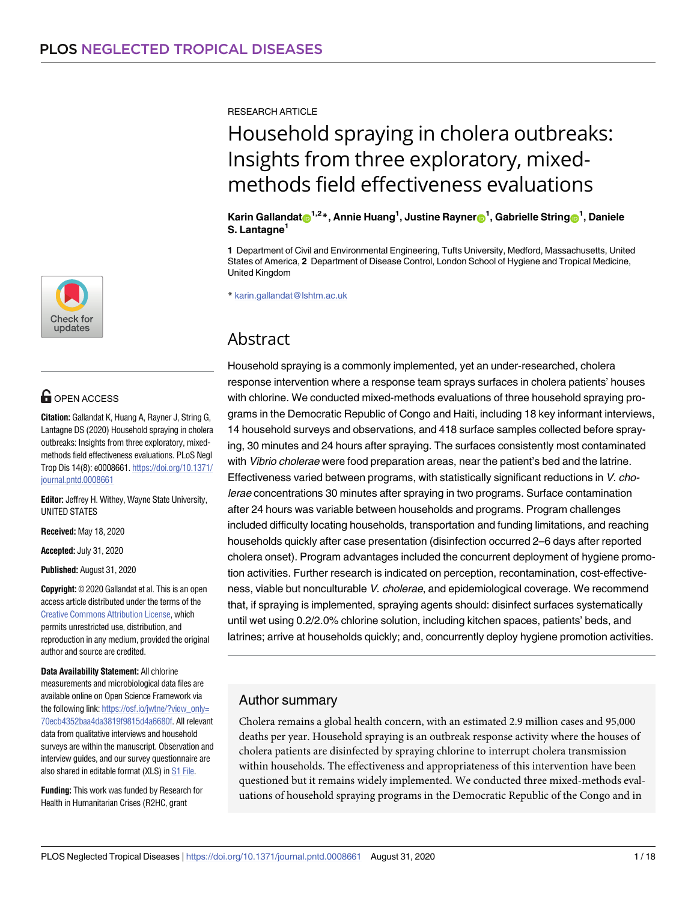

# **OPEN ACCESS**

**Citation:** Gallandat K, Huang A, Rayner J, String G, Lantagne DS (2020) Household spraying in cholera outbreaks: Insights from three exploratory, mixedmethods field effectiveness evaluations. PLoS Negl Trop Dis 14(8): e0008661. [https://doi.org/10.1371/](https://doi.org/10.1371/journal.pntd.0008661) [journal.pntd.0008661](https://doi.org/10.1371/journal.pntd.0008661)

**Editor:** Jeffrey H. Withey, Wayne State University, UNITED STATES

**Received:** May 18, 2020

**Accepted:** July 31, 2020

**Published:** August 31, 2020

**Copyright:** © 2020 Gallandat et al. This is an open access article distributed under the terms of the Creative Commons [Attribution](http://creativecommons.org/licenses/by/4.0/) License, which permits unrestricted use, distribution, and reproduction in any medium, provided the original author and source are credited.

**Data Availability Statement:** All chlorine measurements and microbiological data files are available online on Open Science Framework via the following link: [https://osf.io/jwtne/?view\\_only=](https://osf.io/jwtne/?view_only=70ecb4352baa4da3819f9815d4a6680f) [70ecb4352baa4da3819f9815d4a6680f](https://osf.io/jwtne/?view_only=70ecb4352baa4da3819f9815d4a6680f). All relevant data from qualitative interviews and household surveys are within the manuscript. Observation and interview guides, and our survey questionnaire are also shared in editable format (XLS) in S1 [File](#page-14-0).

**Funding:** This work was funded by Research for Health in Humanitarian Crises (R2HC, grant

RESEARCH ARTICLE

# Household spraying in cholera outbreaks: Insights from three exploratory, mixedmethods field effectiveness evaluations

 $K$ arin Gallandat $\mathbf{C}^{1,2\,*}$ , Annie Huang<sup>1</sup>, Justine Rayner $\mathbf{C}^{1}$ , Gabrielle String $\mathbf{C}^{1}$ , Daniele **S. Lantagne1**

**1** Department of Civil and Environmental Engineering, Tufts University, Medford, Massachusetts, United States of America, **2** Department of Disease Control, London School of Hygiene and Tropical Medicine, United Kingdom

\* karin.gallandat@lshtm.ac.uk

# Abstract

Household spraying is a commonly implemented, yet an under-researched, cholera response intervention where a response team sprays surfaces in cholera patients' houses with chlorine. We conducted mixed-methods evaluations of three household spraying programs in the Democratic Republic of Congo and Haiti, including 18 key informant interviews, 14 household surveys and observations, and 418 surface samples collected before spraying, 30 minutes and 24 hours after spraying. The surfaces consistently most contaminated with *Vibrio cholerae* were food preparation areas, near the patient's bed and the latrine. Effectiveness varied between programs, with statistically significant reductions in V. cholerae concentrations 30 minutes after spraying in two programs. Surface contamination after 24 hours was variable between households and programs. Program challenges included difficulty locating households, transportation and funding limitations, and reaching households quickly after case presentation (disinfection occurred 2–6 days after reported cholera onset). Program advantages included the concurrent deployment of hygiene promotion activities. Further research is indicated on perception, recontamination, cost-effectiveness, viable but nonculturable V. cholerae, and epidemiological coverage. We recommend that, if spraying is implemented, spraying agents should: disinfect surfaces systematically until wet using 0.2/2.0% chlorine solution, including kitchen spaces, patients' beds, and latrines; arrive at households quickly; and, concurrently deploy hygiene promotion activities.

# Author summary

Cholera remains a global health concern, with an estimated 2.9 million cases and 95,000 deaths per year. Household spraying is an outbreak response activity where the houses of cholera patients are disinfected by spraying chlorine to interrupt cholera transmission within households. The effectiveness and appropriateness of this intervention have been questioned but it remains widely implemented. We conducted three mixed-methods evaluations of household spraying programs in the Democratic Republic of the Congo and in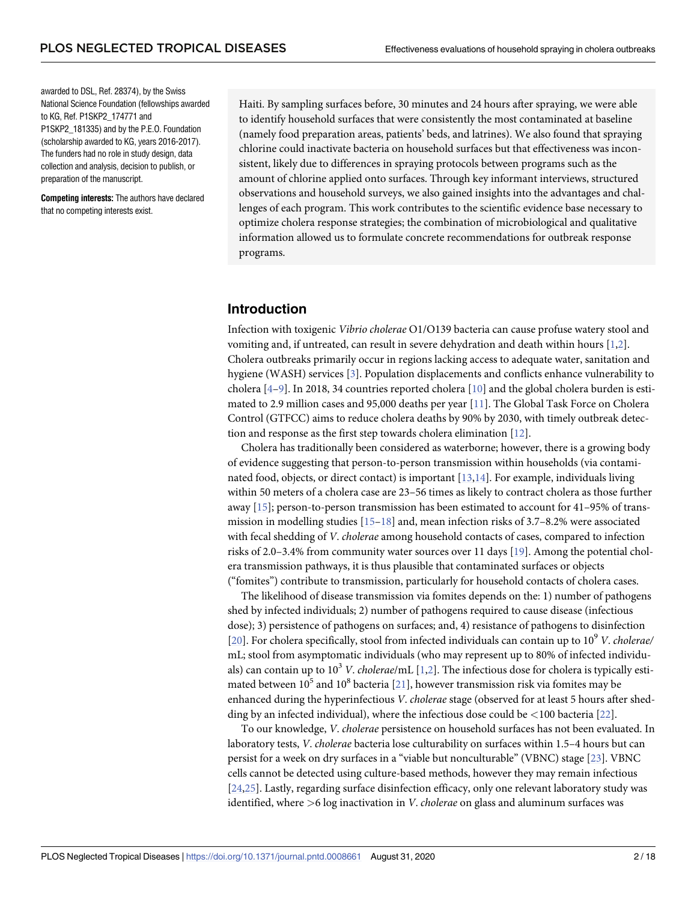<span id="page-1-0"></span>awarded to DSL, Ref. 28374), by the Swiss National Science Foundation (fellowships awarded to KG, Ref. P1SKP2\_174771 and P1SKP2\_181335) and by the P.E.O. Foundation (scholarship awarded to KG, years 2016-2017). The funders had no role in study design, data collection and analysis, decision to publish, or preparation of the manuscript.

**Competing interests:** The authors have declared that no competing interests exist.

Haiti. By sampling surfaces before, 30 minutes and 24 hours after spraying, we were able to identify household surfaces that were consistently the most contaminated at baseline (namely food preparation areas, patients' beds, and latrines). We also found that spraying chlorine could inactivate bacteria on household surfaces but that effectiveness was inconsistent, likely due to differences in spraying protocols between programs such as the amount of chlorine applied onto surfaces. Through key informant interviews, structured observations and household surveys, we also gained insights into the advantages and challenges of each program. This work contributes to the scientific evidence base necessary to optimize cholera response strategies; the combination of microbiological and qualitative information allowed us to formulate concrete recommendations for outbreak response programs.

# **Introduction**

Infection with toxigenic *Vibrio cholerae* O1/O139 bacteria can cause profuse watery stool and vomiting and, if untreated, can result in severe dehydration and death within hours [\[1,2\]](#page-15-0). Cholera outbreaks primarily occur in regions lacking access to adequate water, sanitation and hygiene (WASH) services [[3](#page-15-0)]. Population displacements and conflicts enhance vulnerability to cholera [[4–9\]](#page-15-0). In 2018, 34 countries reported cholera [[10](#page-15-0)] and the global cholera burden is estimated to 2.9 million cases and 95,000 deaths per year [\[11\]](#page-15-0). The Global Task Force on Cholera Control (GTFCC) aims to reduce cholera deaths by 90% by 2030, with timely outbreak detection and response as the first step towards cholera elimination [[12](#page-15-0)].

Cholera has traditionally been considered as waterborne; however, there is a growing body of evidence suggesting that person-to-person transmission within households (via contaminated food, objects, or direct contact) is important [\[13,14\]](#page-15-0). For example, individuals living within 50 meters of a cholera case are 23–56 times as likely to contract cholera as those further away [[15](#page-15-0)]; person-to-person transmission has been estimated to account for 41–95% of transmission in modelling studies [[15](#page-15-0)–[18](#page-15-0)] and, mean infection risks of 3.7–8.2% were associated with fecal shedding of *V*. *cholerae* among household contacts of cases, compared to infection risks of 2.0–3.4% from community water sources over 11 days [\[19\]](#page-15-0). Among the potential cholera transmission pathways, it is thus plausible that contaminated surfaces or objects ("fomites") contribute to transmission, particularly for household contacts of cholera cases.

The likelihood of disease transmission via fomites depends on the: 1) number of pathogens shed by infected individuals; 2) number of pathogens required to cause disease (infectious dose); 3) persistence of pathogens on surfaces; and, 4) resistance of pathogens to disinfection [\[20\]](#page-15-0). For cholera specifically, stool from infected individuals can contain up to 109 *V*. *cholerae/* mL; stool from asymptomatic individuals (who may represent up to 80% of infected individuals) can contain up to 103 *V*. *cholerae*/mL [[1,2\]](#page-15-0). The infectious dose for cholera is typically estimated between  $10^5$  and  $10^8$  bacteria [[21](#page-15-0)], however transmission risk via fomites may be enhanced during the hyperinfectious *V*. *cholerae* stage (observed for at least 5 hours after shedding by an infected individual), where the infectious dose could be *<*100 bacteria [\[22\]](#page-15-0).

To our knowledge, *V*. *cholerae* persistence on household surfaces has not been evaluated. In laboratory tests, *V*. *cholerae* bacteria lose culturability on surfaces within 1.5–4 hours but can persist for a week on dry surfaces in a "viable but nonculturable" (VBNC) stage [[23](#page-16-0)]. VBNC cells cannot be detected using culture-based methods, however they may remain infectious [\[24,25\]](#page-16-0). Lastly, regarding surface disinfection efficacy, only one relevant laboratory study was identified, where *>*6 log inactivation in *V*. *cholerae* on glass and aluminum surfaces was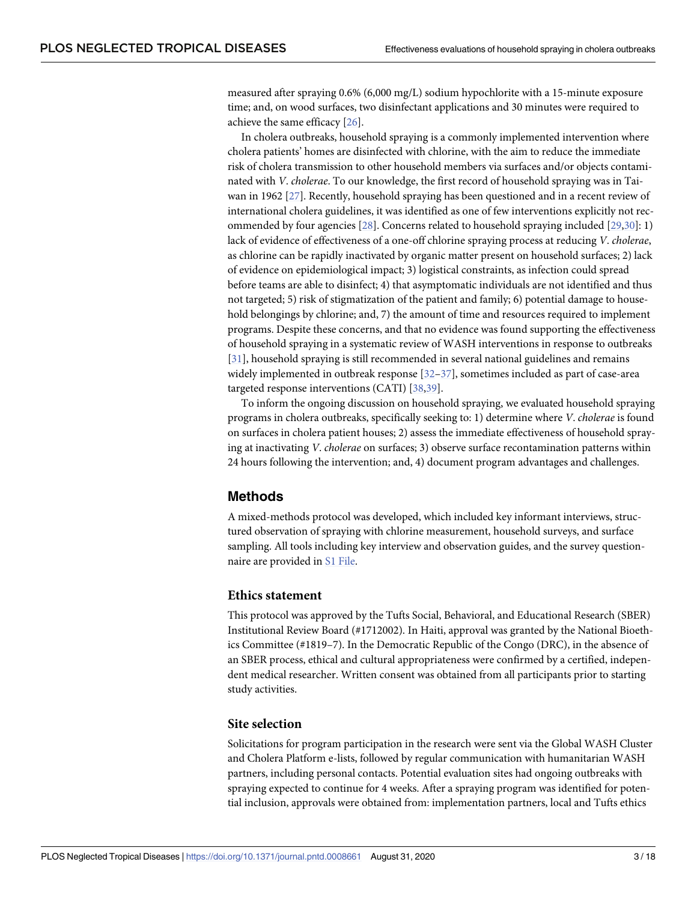<span id="page-2-0"></span>measured after spraying 0.6% (6,000 mg/L) sodium hypochlorite with a 15-minute exposure time; and, on wood surfaces, two disinfectant applications and 30 minutes were required to achieve the same efficacy [[26](#page-16-0)].

In cholera outbreaks, household spraying is a commonly implemented intervention where cholera patients' homes are disinfected with chlorine, with the aim to reduce the immediate risk of cholera transmission to other household members via surfaces and/or objects contaminated with *V*. *cholerae*. To our knowledge, the first record of household spraying was in Taiwan in 1962 [[27](#page-16-0)]. Recently, household spraying has been questioned and in a recent review of international cholera guidelines, it was identified as one of few interventions explicitly not recommended by four agencies [\[28\]](#page-16-0). Concerns related to household spraying included [[29,30\]](#page-16-0): 1) lack of evidence of effectiveness of a one-off chlorine spraying process at reducing *V*. *cholerae*, as chlorine can be rapidly inactivated by organic matter present on household surfaces; 2) lack of evidence on epidemiological impact; 3) logistical constraints, as infection could spread before teams are able to disinfect; 4) that asymptomatic individuals are not identified and thus not targeted; 5) risk of stigmatization of the patient and family; 6) potential damage to household belongings by chlorine; and, 7) the amount of time and resources required to implement programs. Despite these concerns, and that no evidence was found supporting the effectiveness of household spraying in a systematic review of WASH interventions in response to outbreaks [\[31\]](#page-16-0), household spraying is still recommended in several national guidelines and remains widely implemented in outbreak response [[32–37\]](#page-16-0), sometimes included as part of case-area targeted response interventions (CATI) [[38,39\]](#page-16-0).

To inform the ongoing discussion on household spraying, we evaluated household spraying programs in cholera outbreaks, specifically seeking to: 1) determine where *V*. *cholerae* is found on surfaces in cholera patient houses; 2) assess the immediate effectiveness of household spraying at inactivating *V*. *cholerae* on surfaces; 3) observe surface recontamination patterns within 24 hours following the intervention; and, 4) document program advantages and challenges.

#### **Methods**

A mixed-methods protocol was developed, which included key informant interviews, structured observation of spraying with chlorine measurement, household surveys, and surface sampling. All tools including key interview and observation guides, and the survey questionnaire are provided in S1 [File.](#page-14-0)

#### **Ethics statement**

This protocol was approved by the Tufts Social, Behavioral, and Educational Research (SBER) Institutional Review Board (#1712002). In Haiti, approval was granted by the National Bioethics Committee (#1819–7). In the Democratic Republic of the Congo (DRC), in the absence of an SBER process, ethical and cultural appropriateness were confirmed by a certified, independent medical researcher. Written consent was obtained from all participants prior to starting study activities.

#### **Site selection**

Solicitations for program participation in the research were sent via the Global WASH Cluster and Cholera Platform e-lists, followed by regular communication with humanitarian WASH partners, including personal contacts. Potential evaluation sites had ongoing outbreaks with spraying expected to continue for 4 weeks. After a spraying program was identified for potential inclusion, approvals were obtained from: implementation partners, local and Tufts ethics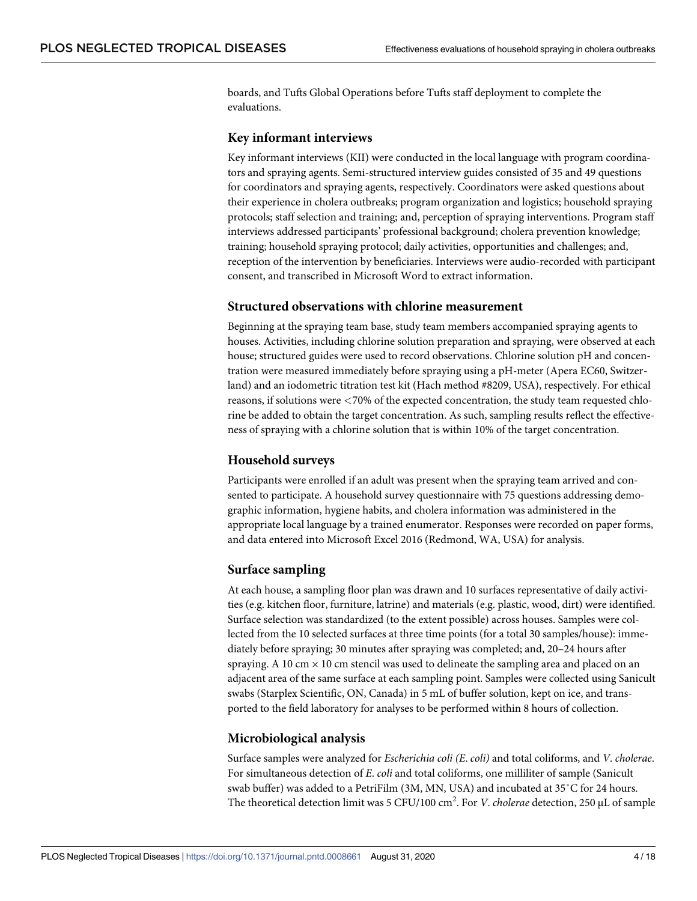boards, and Tufts Global Operations before Tufts staff deployment to complete the evaluations.

### **Key informant interviews**

Key informant interviews (KII) were conducted in the local language with program coordinators and spraying agents. Semi-structured interview guides consisted of 35 and 49 questions for coordinators and spraying agents, respectively. Coordinators were asked questions about their experience in cholera outbreaks; program organization and logistics; household spraying protocols; staff selection and training; and, perception of spraying interventions. Program staff interviews addressed participants' professional background; cholera prevention knowledge; training; household spraying protocol; daily activities, opportunities and challenges; and, reception of the intervention by beneficiaries. Interviews were audio-recorded with participant consent, and transcribed in Microsoft Word to extract information.

# **Structured observations with chlorine measurement**

Beginning at the spraying team base, study team members accompanied spraying agents to houses. Activities, including chlorine solution preparation and spraying, were observed at each house; structured guides were used to record observations. Chlorine solution pH and concentration were measured immediately before spraying using a pH-meter (Apera EC60, Switzerland) and an iodometric titration test kit (Hach method #8209, USA), respectively. For ethical reasons, if solutions were *<*70% of the expected concentration, the study team requested chlorine be added to obtain the target concentration. As such, sampling results reflect the effectiveness of spraying with a chlorine solution that is within 10% of the target concentration.

# **Household surveys**

Participants were enrolled if an adult was present when the spraying team arrived and consented to participate. A household survey questionnaire with 75 questions addressing demographic information, hygiene habits, and cholera information was administered in the appropriate local language by a trained enumerator. Responses were recorded on paper forms, and data entered into Microsoft Excel 2016 (Redmond, WA, USA) for analysis.

# **Surface sampling**

At each house, a sampling floor plan was drawn and 10 surfaces representative of daily activities (e.g. kitchen floor, furniture, latrine) and materials (e.g. plastic, wood, dirt) were identified. Surface selection was standardized (to the extent possible) across houses. Samples were collected from the 10 selected surfaces at three time points (for a total 30 samples/house): immediately before spraying; 30 minutes after spraying was completed; and, 20–24 hours after spraying. A 10 cm  $\times$  10 cm stencil was used to delineate the sampling area and placed on an adjacent area of the same surface at each sampling point. Samples were collected using Sanicult swabs (Starplex Scientific, ON, Canada) in 5 mL of buffer solution, kept on ice, and transported to the field laboratory for analyses to be performed within 8 hours of collection.

# **Microbiological analysis**

Surface samples were analyzed for *Escherichia coli (E*. *coli)* and total coliforms, and *V*. *cholerae*. For simultaneous detection of *E*. *coli* and total coliforms, one milliliter of sample (Sanicult swab buffer) was added to a PetriFilm (3M, MN, USA) and incubated at 35˚C for 24 hours. The theoretical detection limit was 5 CFU/100 cm2 . For *V*. *cholerae* detection, 250 μL of sample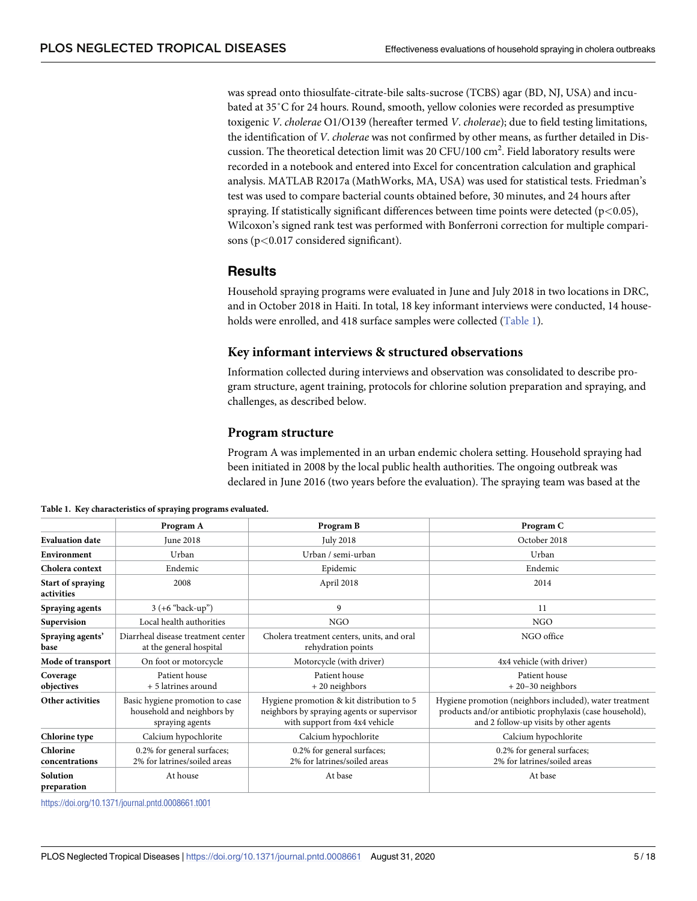was spread onto thiosulfate-citrate-bile salts-sucrose (TCBS) agar (BD, NJ, USA) and incubated at 35˚C for 24 hours. Round, smooth, yellow colonies were recorded as presumptive toxigenic *V*. *cholerae* O1/O139 (hereafter termed *V*. *cholerae*); due to field testing limitations, the identification of *V*. *cholerae* was not confirmed by other means, as further detailed in Discussion. The theoretical detection limit was 20 CFU/100  $\text{cm}^2$ . Field laboratory results were recorded in a notebook and entered into Excel for concentration calculation and graphical analysis. MATLAB R2017a (MathWorks, MA, USA) was used for statistical tests. Friedman's test was used to compare bacterial counts obtained before, 30 minutes, and 24 hours after spraying. If statistically significant differences between time points were detected (p*<*0.05), Wilcoxon's signed rank test was performed with Bonferroni correction for multiple comparisons (p*<*0.017 considered significant).

## **Results**

Household spraying programs were evaluated in June and July 2018 in two locations in DRC, and in October 2018 in Haiti. In total, 18 key informant interviews were conducted, 14 households were enrolled, and 418 surface samples were collected (Table 1).

#### **Key informant interviews & structured observations**

Information collected during interviews and observation was consolidated to describe program structure, agent training, protocols for chlorine solution preparation and spraying, and challenges, as described below.

#### **Program structure**

Program A was implemented in an urban endemic cholera setting. Household spraying had been initiated in 2008 by the local public health authorities. The ongoing outbreak was declared in June 2016 (two years before the evaluation). The spraying team was based at the

|                                        | Program A                                                                        | Program B                                                                                                                | Program C                                                                                                                                                     |  |
|----------------------------------------|----------------------------------------------------------------------------------|--------------------------------------------------------------------------------------------------------------------------|---------------------------------------------------------------------------------------------------------------------------------------------------------------|--|
| <b>Evaluation date</b>                 | June 2018                                                                        | <b>July 2018</b>                                                                                                         | October 2018                                                                                                                                                  |  |
| Environment                            | Urban                                                                            | Urban / semi-urban                                                                                                       | Urban                                                                                                                                                         |  |
| Cholera context                        | Endemic                                                                          | Epidemic                                                                                                                 | Endemic                                                                                                                                                       |  |
| <b>Start of spraying</b><br>activities | 2008                                                                             | April 2018                                                                                                               | 2014                                                                                                                                                          |  |
| Spraying agents                        | $3 (+6$ "back-up")                                                               | 9                                                                                                                        | 11                                                                                                                                                            |  |
| Supervision                            | Local health authorities                                                         | NGO                                                                                                                      | <b>NGO</b>                                                                                                                                                    |  |
| Spraying agents'<br>base               | Diarrheal disease treatment center<br>at the general hospital                    | Cholera treatment centers, units, and oral<br>rehydration points                                                         | NGO office                                                                                                                                                    |  |
| Mode of transport                      | On foot or motorcycle                                                            | Motorcycle (with driver)                                                                                                 | 4x4 vehicle (with driver)                                                                                                                                     |  |
| Coverage<br>objectives                 | Patient house<br>+ 5 latrines around                                             | Patient house<br>+20 neighbors                                                                                           | Patient house<br>$+20-30$ neighbors                                                                                                                           |  |
| Other activities                       | Basic hygiene promotion to case<br>household and neighbors by<br>spraying agents | Hygiene promotion & kit distribution to 5<br>neighbors by spraying agents or supervisor<br>with support from 4x4 vehicle | Hygiene promotion (neighbors included), water treatment<br>products and/or antibiotic prophylaxis (case household),<br>and 2 follow-up visits by other agents |  |
| Chlorine type                          | Calcium hypochlorite                                                             | Calcium hypochlorite                                                                                                     | Calcium hypochlorite                                                                                                                                          |  |
| Chlorine<br>concentrations             | 0.2% for general surfaces;<br>2% for latrines/soiled areas                       | 0.2% for general surfaces;<br>2% for latrines/soiled areas                                                               | 0.2% for general surfaces;<br>2% for latrines/soiled areas                                                                                                    |  |
| Solution<br>preparation                | At house                                                                         | At base                                                                                                                  | At base                                                                                                                                                       |  |

**Table 1. Key characteristics of spraying programs evaluated.**

<https://doi.org/10.1371/journal.pntd.0008661.t001>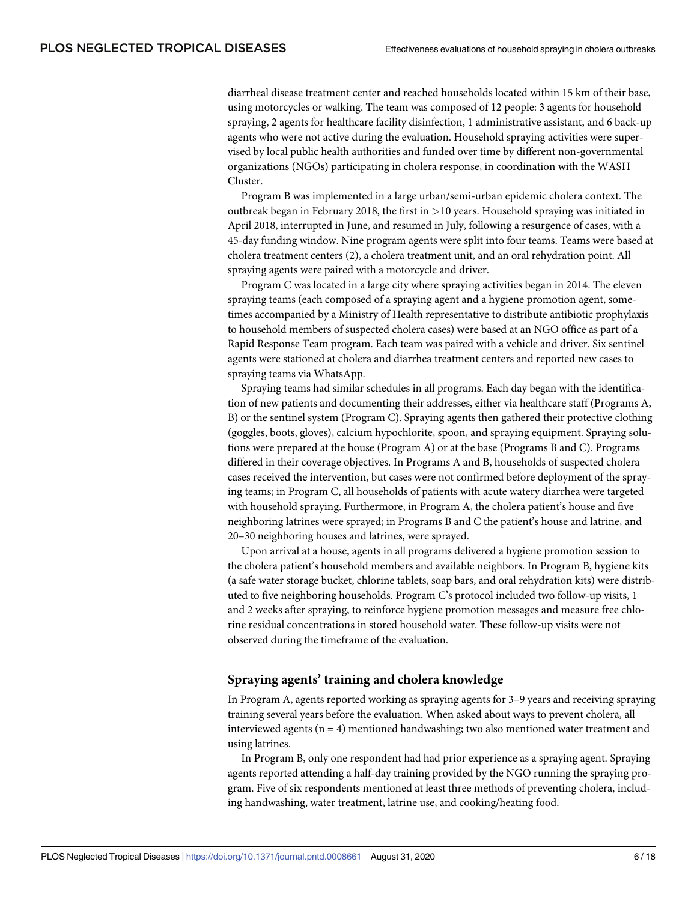diarrheal disease treatment center and reached households located within 15 km of their base, using motorcycles or walking. The team was composed of 12 people: 3 agents for household spraying, 2 agents for healthcare facility disinfection, 1 administrative assistant, and 6 back-up agents who were not active during the evaluation. Household spraying activities were supervised by local public health authorities and funded over time by different non-governmental organizations (NGOs) participating in cholera response, in coordination with the WASH Cluster.

Program B was implemented in a large urban/semi-urban epidemic cholera context. The outbreak began in February 2018, the first in *>*10 years. Household spraying was initiated in April 2018, interrupted in June, and resumed in July, following a resurgence of cases, with a 45-day funding window. Nine program agents were split into four teams. Teams were based at cholera treatment centers (2), a cholera treatment unit, and an oral rehydration point. All spraying agents were paired with a motorcycle and driver.

Program C was located in a large city where spraying activities began in 2014. The eleven spraying teams (each composed of a spraying agent and a hygiene promotion agent, sometimes accompanied by a Ministry of Health representative to distribute antibiotic prophylaxis to household members of suspected cholera cases) were based at an NGO office as part of a Rapid Response Team program. Each team was paired with a vehicle and driver. Six sentinel agents were stationed at cholera and diarrhea treatment centers and reported new cases to spraying teams via WhatsApp.

Spraying teams had similar schedules in all programs. Each day began with the identification of new patients and documenting their addresses, either via healthcare staff (Programs A, B) or the sentinel system (Program C). Spraying agents then gathered their protective clothing (goggles, boots, gloves), calcium hypochlorite, spoon, and spraying equipment. Spraying solutions were prepared at the house (Program A) or at the base (Programs B and C). Programs differed in their coverage objectives. In Programs A and B, households of suspected cholera cases received the intervention, but cases were not confirmed before deployment of the spraying teams; in Program C, all households of patients with acute watery diarrhea were targeted with household spraying. Furthermore, in Program A, the cholera patient's house and five neighboring latrines were sprayed; in Programs B and C the patient's house and latrine, and 20–30 neighboring houses and latrines, were sprayed.

Upon arrival at a house, agents in all programs delivered a hygiene promotion session to the cholera patient's household members and available neighbors. In Program B, hygiene kits (a safe water storage bucket, chlorine tablets, soap bars, and oral rehydration kits) were distributed to five neighboring households. Program C's protocol included two follow-up visits, 1 and 2 weeks after spraying, to reinforce hygiene promotion messages and measure free chlorine residual concentrations in stored household water. These follow-up visits were not observed during the timeframe of the evaluation.

#### **Spraying agents' training and cholera knowledge**

In Program A, agents reported working as spraying agents for 3–9 years and receiving spraying training several years before the evaluation. When asked about ways to prevent cholera, all interviewed agents  $(n = 4)$  mentioned handwashing; two also mentioned water treatment and using latrines.

In Program B, only one respondent had had prior experience as a spraying agent. Spraying agents reported attending a half-day training provided by the NGO running the spraying program. Five of six respondents mentioned at least three methods of preventing cholera, including handwashing, water treatment, latrine use, and cooking/heating food.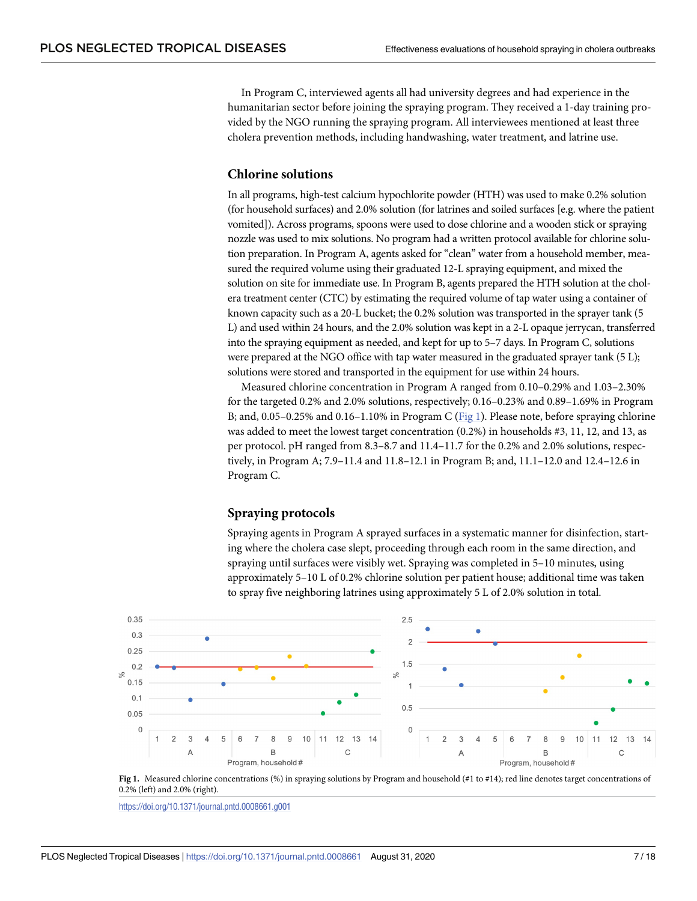In Program C, interviewed agents all had university degrees and had experience in the humanitarian sector before joining the spraying program. They received a 1-day training provided by the NGO running the spraying program. All interviewees mentioned at least three cholera prevention methods, including handwashing, water treatment, and latrine use.

#### **Chlorine solutions**

In all programs, high-test calcium hypochlorite powder (HTH) was used to make 0.2% solution (for household surfaces) and 2.0% solution (for latrines and soiled surfaces [e.g. where the patient vomited]). Across programs, spoons were used to dose chlorine and a wooden stick or spraying nozzle was used to mix solutions. No program had a written protocol available for chlorine solution preparation. In Program A, agents asked for "clean" water from a household member, measured the required volume using their graduated 12-L spraying equipment, and mixed the solution on site for immediate use. In Program B, agents prepared the HTH solution at the cholera treatment center (CTC) by estimating the required volume of tap water using a container of known capacity such as a 20-L bucket; the 0.2% solution was transported in the sprayer tank (5 L) and used within 24 hours, and the 2.0% solution was kept in a 2-L opaque jerrycan, transferred into the spraying equipment as needed, and kept for up to 5–7 days. In Program C, solutions were prepared at the NGO office with tap water measured in the graduated sprayer tank (5 L); solutions were stored and transported in the equipment for use within 24 hours.

Measured chlorine concentration in Program A ranged from 0.10–0.29% and 1.03–2.30% for the targeted 0.2% and 2.0% solutions, respectively; 0.16–0.23% and 0.89–1.69% in Program B; and, 0.05–0.25% and 0.16–1.10% in Program C (Fig 1). Please note, before spraying chlorine was added to meet the lowest target concentration (0.2%) in households #3, 11, 12, and 13, as per protocol. pH ranged from 8.3–8.7 and 11.4–11.7 for the 0.2% and 2.0% solutions, respectively, in Program A; 7.9–11.4 and 11.8–12.1 in Program B; and, 11.1–12.0 and 12.4–12.6 in Program C.

#### **Spraying protocols**

Spraying agents in Program A sprayed surfaces in a systematic manner for disinfection, starting where the cholera case slept, proceeding through each room in the same direction, and spraying until surfaces were visibly wet. Spraying was completed in 5–10 minutes, using approximately 5–10 L of 0.2% chlorine solution per patient house; additional time was taken to spray five neighboring latrines using approximately 5 L of 2.0% solution in total.





<https://doi.org/10.1371/journal.pntd.0008661.g001>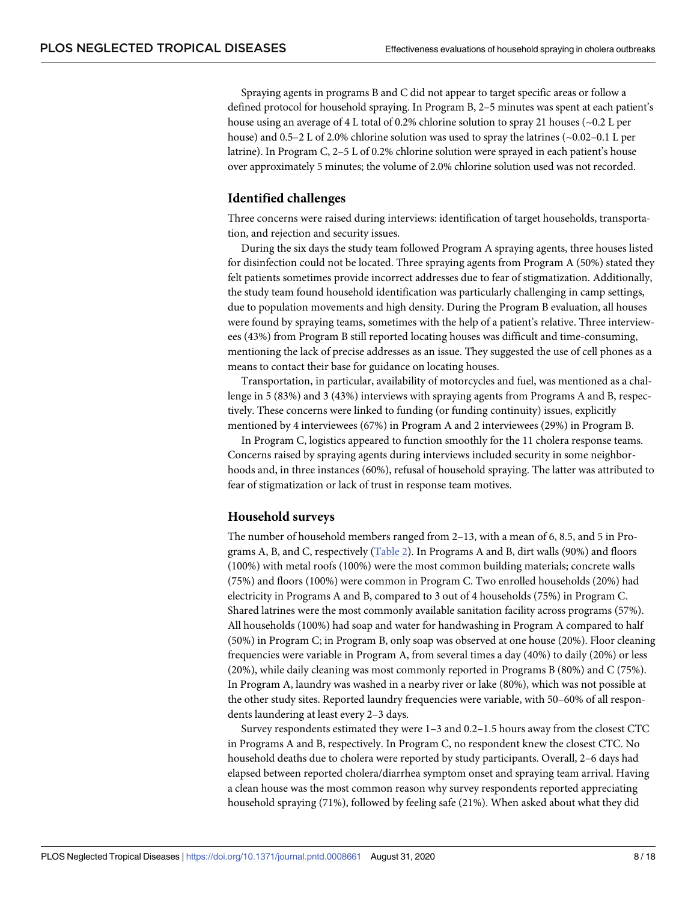<span id="page-7-0"></span>Spraying agents in programs B and C did not appear to target specific areas or follow a defined protocol for household spraying. In Program B, 2–5 minutes was spent at each patient's house using an average of 4 L total of 0.2% chlorine solution to spray 21 houses ( $\sim$ 0.2 L per house) and 0.5–2 L of 2.0% chlorine solution was used to spray the latrines (~0.02–0.1 L per latrine). In Program C, 2–5 L of 0.2% chlorine solution were sprayed in each patient's house over approximately 5 minutes; the volume of 2.0% chlorine solution used was not recorded.

#### **Identified challenges**

Three concerns were raised during interviews: identification of target households, transportation, and rejection and security issues.

During the six days the study team followed Program A spraying agents, three houses listed for disinfection could not be located. Three spraying agents from Program A (50%) stated they felt patients sometimes provide incorrect addresses due to fear of stigmatization. Additionally, the study team found household identification was particularly challenging in camp settings, due to population movements and high density. During the Program B evaluation, all houses were found by spraying teams, sometimes with the help of a patient's relative. Three interviewees (43%) from Program B still reported locating houses was difficult and time-consuming, mentioning the lack of precise addresses as an issue. They suggested the use of cell phones as a means to contact their base for guidance on locating houses.

Transportation, in particular, availability of motorcycles and fuel, was mentioned as a challenge in 5 (83%) and 3 (43%) interviews with spraying agents from Programs A and B, respectively. These concerns were linked to funding (or funding continuity) issues, explicitly mentioned by 4 interviewees (67%) in Program A and 2 interviewees (29%) in Program B.

In Program C, logistics appeared to function smoothly for the 11 cholera response teams. Concerns raised by spraying agents during interviews included security in some neighborhoods and, in three instances (60%), refusal of household spraying. The latter was attributed to fear of stigmatization or lack of trust in response team motives.

#### **Household surveys**

The number of household members ranged from 2–13, with a mean of 6, 8.5, and 5 in Programs A, B, and C, respectively ([Table](#page-8-0) 2). In Programs A and B, dirt walls (90%) and floors (100%) with metal roofs (100%) were the most common building materials; concrete walls (75%) and floors (100%) were common in Program C. Two enrolled households (20%) had electricity in Programs A and B, compared to 3 out of 4 households (75%) in Program C. Shared latrines were the most commonly available sanitation facility across programs (57%). All households (100%) had soap and water for handwashing in Program A compared to half (50%) in Program C; in Program B, only soap was observed at one house (20%). Floor cleaning frequencies were variable in Program A, from several times a day (40%) to daily (20%) or less (20%), while daily cleaning was most commonly reported in Programs B (80%) and C (75%). In Program A, laundry was washed in a nearby river or lake (80%), which was not possible at the other study sites. Reported laundry frequencies were variable, with 50–60% of all respondents laundering at least every 2–3 days.

Survey respondents estimated they were 1–3 and 0.2–1.5 hours away from the closest CTC in Programs A and B, respectively. In Program C, no respondent knew the closest CTC. No household deaths due to cholera were reported by study participants. Overall, 2–6 days had elapsed between reported cholera/diarrhea symptom onset and spraying team arrival. Having a clean house was the most common reason why survey respondents reported appreciating household spraying (71%), followed by feeling safe (21%). When asked about what they did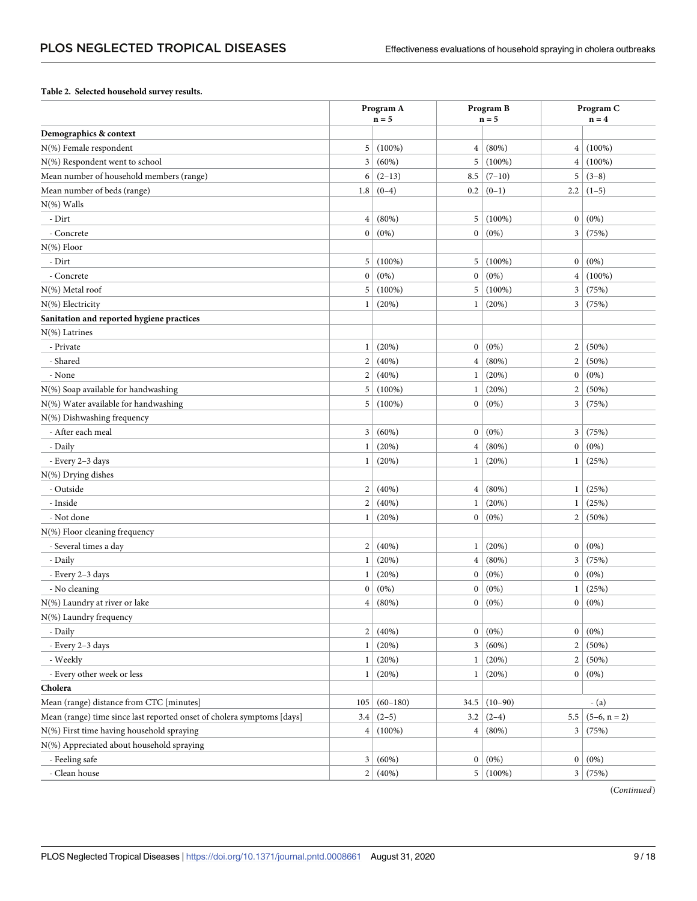#### <span id="page-8-0"></span>**[Table](#page-7-0) 2. Selected household survey results.**

|                                                                        |                  | Program A<br>$n = 5$ |                  | Program B<br>$n = 5$ |                  | Program C<br>$n = 4$ |  |
|------------------------------------------------------------------------|------------------|----------------------|------------------|----------------------|------------------|----------------------|--|
| Demographics & context                                                 |                  |                      |                  |                      |                  |                      |  |
| N(%) Female respondent                                                 | 5                | $(100\%)$            | $\overline{4}$   | (80%)                | 4                | $(100\%)$            |  |
| N(%) Respondent went to school                                         | 3                | $(60\%)$             | 5                | $(100\%)$            | $\overline{4}$   | $(100\%)$            |  |
|                                                                        | 6                |                      | 8.5              | $(7-10)$             | 5                | $(3-8)$              |  |
| Mean number of household members (range)                               |                  | $(2-13)$             |                  |                      |                  |                      |  |
| Mean number of beds (range)                                            | 1.8              | $(0-4)$              | 0.2              | $(0-1)$              | $2.2\phantom{0}$ | $(1-5)$              |  |
| $N$ (%) Walls                                                          |                  |                      |                  |                      |                  |                      |  |
| - Dirt                                                                 | 4                | (80%)                | 5                | $(100\%)$            | $\mathbf{0}$     | $(0\%)$              |  |
| - Concrete                                                             | $\boldsymbol{0}$ | $(0\%)$              | $\boldsymbol{0}$ | $(0\%)$              | 3                | (75%)                |  |
| $N(\%)$ Floor                                                          |                  |                      |                  |                      |                  |                      |  |
| - Dirt                                                                 | 5                | $(100\%)$            | 5                | $(100\%)$            | $\mathbf{0}$     | $(0\%)$              |  |
| - Concrete                                                             | $\boldsymbol{0}$ | $(0\%)$              | $\boldsymbol{0}$ | $(0\%)$              | $\overline{4}$   | $(100\%)$            |  |
| N(%) Metal roof                                                        | 5                | $(100\%)$            | 5                | $(100\%)$            | 3                | (75%)                |  |
| N(%) Electricity                                                       | 1                | (20%)                | 1                | (20%)                | 3                | (75%)                |  |
| Sanitation and reported hygiene practices                              |                  |                      |                  |                      |                  |                      |  |
| $N$ (%) Latrines                                                       |                  |                      |                  |                      |                  |                      |  |
| - Private                                                              | $\mathbf{1}$     | (20%)                | $\overline{0}$   | $(0\%)$              | $\overline{c}$   | (50%)                |  |
| - Shared                                                               | $\overline{c}$   | (40%)                | $\overline{4}$   | (80%)                | $\overline{c}$   | (50%)                |  |
| - None                                                                 | $\boldsymbol{2}$ | (40%)                | $\mathbf{1}$     | (20%)                | $\mathbf{0}$     | $(0\%)$              |  |
| N(%) Soap available for handwashing                                    | 5                | $(100\%)$            | $\mathbf{1}$     | (20%)                | $\overline{2}$   | (50%)                |  |
| N(%) Water available for handwashing                                   | 5                | $(100\%)$            | $\boldsymbol{0}$ | $(0\%)$              | 3                | (75%)                |  |
| N(%) Dishwashing frequency                                             |                  |                      |                  |                      |                  |                      |  |
| - After each meal                                                      | 3                | (60%)                | $\boldsymbol{0}$ | $(0\%)$              | $\mathfrak{Z}$   | (75%)                |  |
| - Daily                                                                | 1                | (20%)                | $\overline{4}$   | (80%)                | $\mathbf{0}$     | $(0\%)$              |  |
| - Every 2-3 days                                                       | 1                | (20%)                | $\mathbf{1}$     | (20%)                | $\mathbf{1}$     | (25%)                |  |
| N(%) Drying dishes                                                     |                  |                      |                  |                      |                  |                      |  |
| - Outside                                                              | $\boldsymbol{2}$ | $(40\%)$             | $\overline{4}$   | (80%)                | $\mathbf{1}$     | (25%)                |  |
| - Inside                                                               | $\mathbf{2}$     | (40%)                | $\mathbf{1}$     | (20%)                | $\mathbf{1}$     | (25%)                |  |
| - Not done                                                             | 1                | (20%)                | $\boldsymbol{0}$ | $(0\%)$              | $\overline{2}$   | (50%)                |  |
| N(%) Floor cleaning frequency                                          |                  |                      |                  |                      |                  |                      |  |
| - Several times a day                                                  | $\boldsymbol{2}$ | (40%)                | $\mathbf{1}$     | (20%)                | $\boldsymbol{0}$ | $(0\%)$              |  |
| - Daily                                                                | 1                | (20%)                | $\overline{4}$   | (80%)                | 3                | (75%)                |  |
| - Every 2-3 days                                                       | 1                | (20%)                | $\boldsymbol{0}$ | $(0\%)$              | $\mathbf{0}$     | $(0\%)$              |  |
| - No cleaning                                                          | $\boldsymbol{0}$ | $(0\%)$              | $\boldsymbol{0}$ | $(0\%)$              | $\mathbf{1}$     | (25%)                |  |
| N(%) Laundry at river or lake                                          | 4                | $(80\%)$             | $\boldsymbol{0}$ | $(0\%)$              | $\mathbf{0}$     | $(0\%)$              |  |
| N(%) Laundry frequency                                                 |                  |                      |                  |                      |                  |                      |  |
| - Daily                                                                | $\mathbf{2}$     | $(40\%)$             | $\boldsymbol{0}$ | $(0\%)$              | $\mathbf{0}$     | $(0\%)$              |  |
| - Every 2-3 days                                                       | $\mathbf{1}$     | (20%)                | $\mathbf{3}$     | (60%)                | $\overline{2}$   | (50%)                |  |
| - Weekly                                                               | $\mathbf{1}$     | (20%)                | $1\vert$         | (20%)                | 2 <sup>1</sup>   | (50%)                |  |
| - Every other week or less                                             | $\mathbf{1}$     | (20%)                | $\mathbf{1}$     | (20%)                | 0 <sup>1</sup>   | $(0\%)$              |  |
| Cholera                                                                |                  |                      |                  |                      |                  |                      |  |
|                                                                        |                  |                      |                  |                      |                  |                      |  |
| Mean (range) distance from CTC [minutes]                               | 105              | $(60 - 180)$         | 34.5             | $(10-90)$            |                  | $-$ (a)              |  |
| Mean (range) time since last reported onset of cholera symptoms [days] | 3.4              | $(2-5)$              | 3.2              | $(2-4)$              | 5.5              | $(5-6, n = 2)$       |  |
| N(%) First time having household spraying                              | 4                | $(100\%)$            | $\overline{4}$   | (80%)                | 3 <sup>1</sup>   | (75%)                |  |
| N(%) Appreciated about household spraying                              |                  |                      |                  |                      |                  |                      |  |
| - Feeling safe                                                         | 3                | (60%)                | 0 <sup>1</sup>   | $(0\%)$              | 0 <sup>1</sup>   | $(0\%)$              |  |
| - Clean house                                                          |                  | $2 (40\%)$           | 5                | $(100\%)$            | 3                | (75%)                |  |

(*Continued*)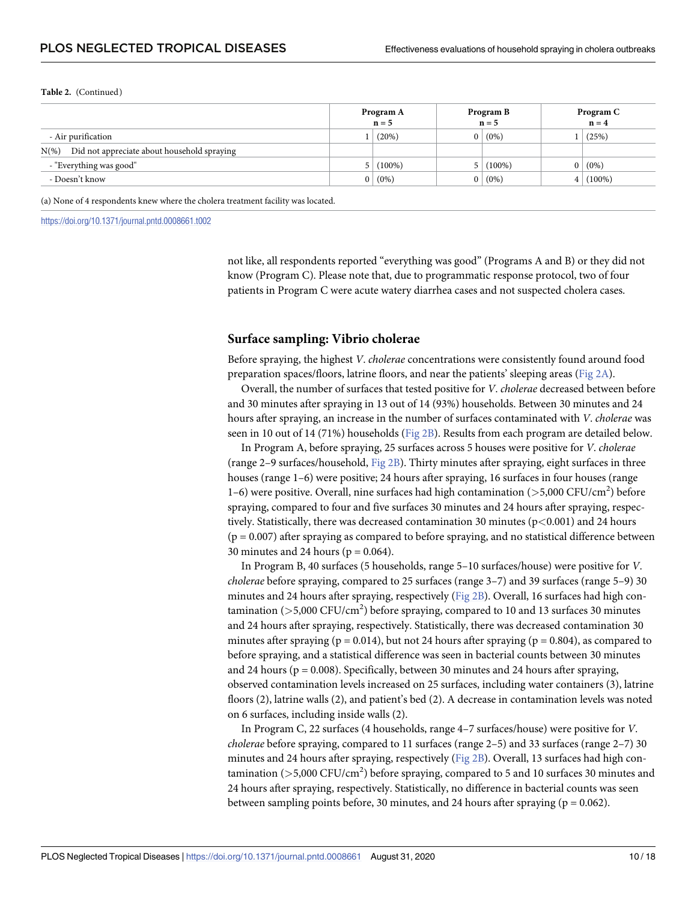<span id="page-9-0"></span>**Table 2.** (Continued)

|                                                        | Program A<br>$n = 5$ |                | Program B<br>$n = 5$ |           | Program C<br>$n = 4$ |           |
|--------------------------------------------------------|----------------------|----------------|----------------------|-----------|----------------------|-----------|
| - Air purification                                     |                      | $(20\%)$       | ∩ ∣                  | $(0\%)$   |                      | (25%)     |
| Did not appreciate about household spraying<br>$N(\%)$ |                      |                |                      |           |                      |           |
| - "Everything was good"                                |                      | $(100\%)$      |                      | $(100\%)$ | 0 <sup>1</sup>       | $(0\%)$   |
| - Doesn't know                                         |                      | $0 \mid (0\%)$ |                      | $(0\%)$   |                      | $(100\%)$ |

(a) None of 4 respondents knew where the cholera treatment facility was located.

<https://doi.org/10.1371/journal.pntd.0008661.t002>

not like, all respondents reported "everything was good" (Programs A and B) or they did not know (Program C). Please note that, due to programmatic response protocol, two of four patients in Program C were acute watery diarrhea cases and not suspected cholera cases.

#### **Surface sampling: Vibrio cholerae**

Before spraying, the highest *V*. *cholerae* concentrations were consistently found around food preparation spaces/floors, latrine floors, and near the patients' sleeping areas ([Fig](#page-10-0) 2A).

Overall, the number of surfaces that tested positive for *V*. *cholerae* decreased between before and 30 minutes after spraying in 13 out of 14 (93%) households. Between 30 minutes and 24 hours after spraying, an increase in the number of surfaces contaminated with *V*. *cholerae* was seen in 10 out of 14 (71%) households [\(Fig](#page-10-0) 2B). Results from each program are detailed below.

In Program A, before spraying, 25 surfaces across 5 houses were positive for *V*. *cholerae* (range 2–9 surfaces/household, [Fig](#page-10-0) 2B). Thirty minutes after spraying, eight surfaces in three houses (range 1–6) were positive; 24 hours after spraying, 16 surfaces in four houses (range 1-6) were positive. Overall, nine surfaces had high contamination (>5,000 CFU/cm<sup>2</sup>) before spraying, compared to four and five surfaces 30 minutes and 24 hours after spraying, respectively. Statistically, there was decreased contamination 30 minutes (p*<*0.001) and 24 hours  $(p = 0.007)$  after spraying as compared to before spraying, and no statistical difference between 30 minutes and 24 hours ( $p = 0.064$ ).

In Program B, 40 surfaces (5 households, range 5–10 surfaces/house) were positive for *V*. *cholerae* before spraying, compared to 25 surfaces (range 3–7) and 39 surfaces (range 5–9) 30 minutes and 24 hours after spraying, respectively [\(Fig](#page-10-0) 2B). Overall, 16 surfaces had high contamination (>5,000 CFU/cm<sup>2</sup>) before spraying, compared to 10 and 13 surfaces 30 minutes and 24 hours after spraying, respectively. Statistically, there was decreased contamination 30 minutes after spraying ( $p = 0.014$ ), but not 24 hours after spraying ( $p = 0.804$ ), as compared to before spraying, and a statistical difference was seen in bacterial counts between 30 minutes and 24 hours ( $p = 0.008$ ). Specifically, between 30 minutes and 24 hours after spraying, observed contamination levels increased on 25 surfaces, including water containers (3), latrine floors (2), latrine walls (2), and patient's bed (2). A decrease in contamination levels was noted on 6 surfaces, including inside walls (2).

In Program C, 22 surfaces (4 households, range 4–7 surfaces/house) were positive for *V*. *cholerae* before spraying, compared to 11 surfaces (range 2–5) and 33 surfaces (range 2–7) 30 minutes and 24 hours after spraying, respectively [\(Fig](#page-10-0) 2B). Overall, 13 surfaces had high contamination (>5,000 CFU/cm<sup>2</sup>) before spraying, compared to 5 and 10 surfaces 30 minutes and 24 hours after spraying, respectively. Statistically, no difference in bacterial counts was seen between sampling points before, 30 minutes, and 24 hours after spraying ( $p = 0.062$ ).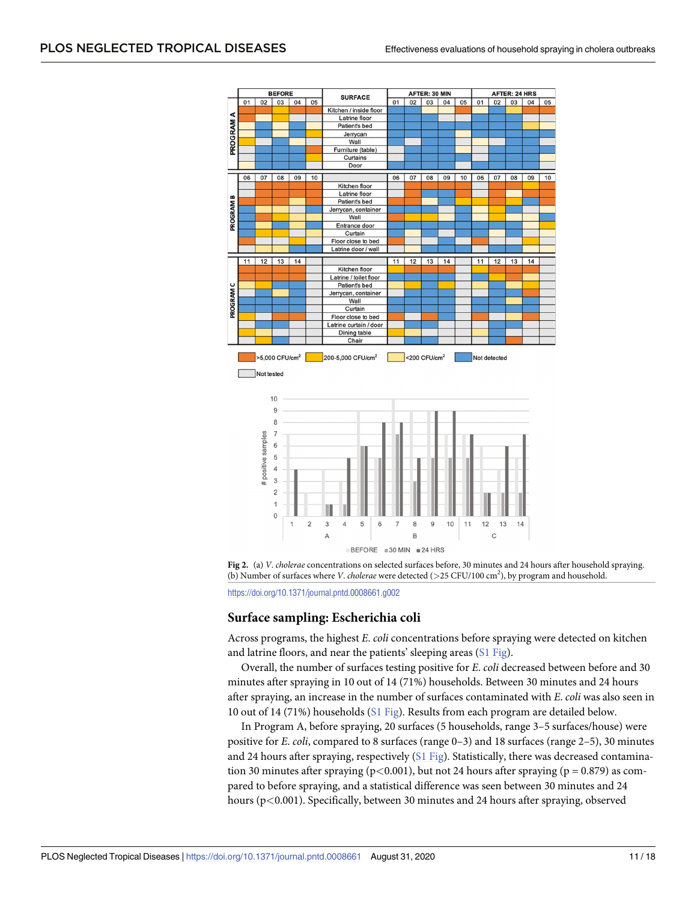<span id="page-10-0"></span>



<https://doi.org/10.1371/journal.pntd.0008661.g002>

#### **Surface sampling: Escherichia coli**

Across programs, the highest *E*. *coli* concentrations before spraying were detected on kitchen and latrine floors, and near the patients' sleeping areas (S1 [Fig](#page-14-0)).

Overall, the number of surfaces testing positive for *E*. *coli* decreased between before and 30 minutes after spraying in 10 out of 14 (71%) households. Between 30 minutes and 24 hours after spraying, an increase in the number of surfaces contaminated with *E*. *coli* was also seen in 10 out of 14 (71%) households (S1 [Fig](#page-14-0)). Results from each program are detailed below.

In Program A, before spraying, 20 surfaces (5 households, range 3–5 surfaces/house) were positive for *E*. *coli*, compared to 8 surfaces (range 0–3) and 18 surfaces (range 2–5), 30 minutes and 24 hours after spraying, respectively (S1 [Fig\)](#page-14-0). Statistically, there was decreased contamination 30 minutes after spraying ( $p < 0.001$ ), but not 24 hours after spraying ( $p = 0.879$ ) as compared to before spraying, and a statistical difference was seen between 30 minutes and 24 hours (p*<*0.001). Specifically, between 30 minutes and 24 hours after spraying, observed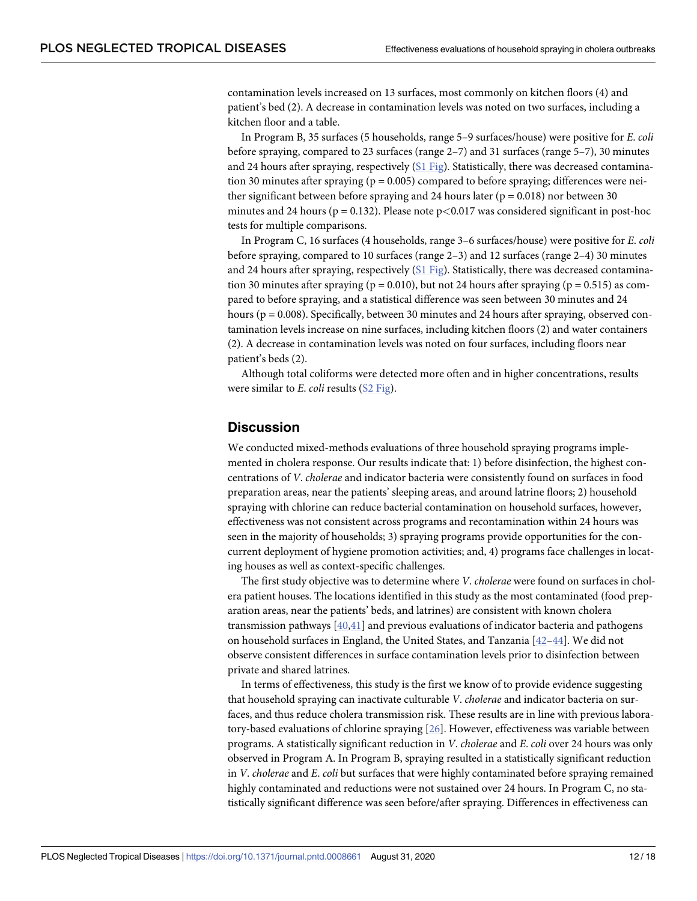<span id="page-11-0"></span>contamination levels increased on 13 surfaces, most commonly on kitchen floors (4) and patient's bed (2). A decrease in contamination levels was noted on two surfaces, including a kitchen floor and a table.

In Program B, 35 surfaces (5 households, range 5–9 surfaces/house) were positive for *E*. *coli* before spraying, compared to 23 surfaces (range 2–7) and 31 surfaces (range 5–7), 30 minutes and 24 hours after spraying, respectively (S1 [Fig\)](#page-14-0). Statistically, there was decreased contamination 30 minutes after spraying ( $p = 0.005$ ) compared to before spraying; differences were neither significant between before spraying and 24 hours later ( $p = 0.018$ ) nor between 30 minutes and 24 hours (p = 0.132). Please note p*<*0.017 was considered significant in post-hoc tests for multiple comparisons.

In Program C, 16 surfaces (4 households, range 3–6 surfaces/house) were positive for *E*. *coli* before spraying, compared to 10 surfaces (range 2–3) and 12 surfaces (range 2–4) 30 minutes and 24 hours after spraying, respectively (S1 [Fig\)](#page-14-0). Statistically, there was decreased contamination 30 minutes after spraying ( $p = 0.010$ ), but not 24 hours after spraying ( $p = 0.515$ ) as compared to before spraying, and a statistical difference was seen between 30 minutes and 24 hours ( $p = 0.008$ ). Specifically, between 30 minutes and 24 hours after spraying, observed contamination levels increase on nine surfaces, including kitchen floors (2) and water containers (2). A decrease in contamination levels was noted on four surfaces, including floors near patient's beds (2).

Although total coliforms were detected more often and in higher concentrations, results were similar to *E*. *coli* results (S2 [Fig\)](#page-14-0).

# **Discussion**

We conducted mixed-methods evaluations of three household spraying programs implemented in cholera response. Our results indicate that: 1) before disinfection, the highest concentrations of *V*. *cholerae* and indicator bacteria were consistently found on surfaces in food preparation areas, near the patients' sleeping areas, and around latrine floors; 2) household spraying with chlorine can reduce bacterial contamination on household surfaces, however, effectiveness was not consistent across programs and recontamination within 24 hours was seen in the majority of households; 3) spraying programs provide opportunities for the concurrent deployment of hygiene promotion activities; and, 4) programs face challenges in locating houses as well as context-specific challenges.

The first study objective was to determine where *V*. *cholerae* were found on surfaces in cholera patient houses. The locations identified in this study as the most contaminated (food preparation areas, near the patients' beds, and latrines) are consistent with known cholera transmission pathways [\[40,41\]](#page-16-0) and previous evaluations of indicator bacteria and pathogens on household surfaces in England, the United States, and Tanzania [[42](#page-16-0)–[44](#page-16-0)]. We did not observe consistent differences in surface contamination levels prior to disinfection between private and shared latrines.

In terms of effectiveness, this study is the first we know of to provide evidence suggesting that household spraying can inactivate culturable *V*. *cholerae* and indicator bacteria on surfaces, and thus reduce cholera transmission risk. These results are in line with previous laboratory-based evaluations of chlorine spraying [\[26\]](#page-16-0). However, effectiveness was variable between programs. A statistically significant reduction in *V*. *cholerae* and *E*. *coli* over 24 hours was only observed in Program A. In Program B, spraying resulted in a statistically significant reduction in *V*. *cholerae* and *E*. *coli* but surfaces that were highly contaminated before spraying remained highly contaminated and reductions were not sustained over 24 hours. In Program C, no statistically significant difference was seen before/after spraying. Differences in effectiveness can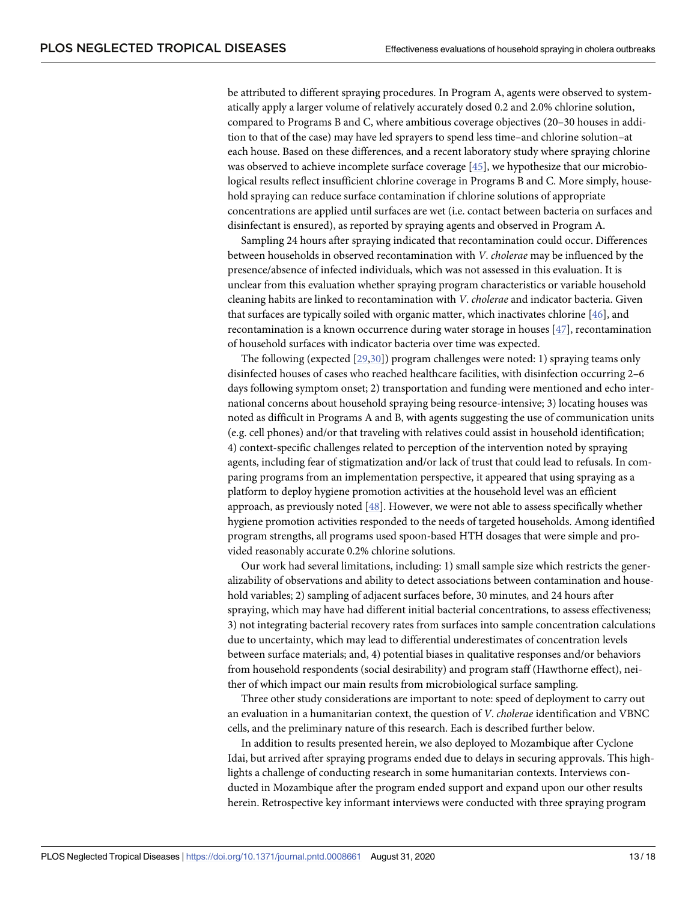<span id="page-12-0"></span>be attributed to different spraying procedures. In Program A, agents were observed to systematically apply a larger volume of relatively accurately dosed 0.2 and 2.0% chlorine solution, compared to Programs B and C, where ambitious coverage objectives (20–30 houses in addition to that of the case) may have led sprayers to spend less time–and chlorine solution–at each house. Based on these differences, and a recent laboratory study where spraying chlorine was observed to achieve incomplete surface coverage [\[45\]](#page-17-0), we hypothesize that our microbiological results reflect insufficient chlorine coverage in Programs B and C. More simply, household spraying can reduce surface contamination if chlorine solutions of appropriate concentrations are applied until surfaces are wet (i.e. contact between bacteria on surfaces and disinfectant is ensured), as reported by spraying agents and observed in Program A.

Sampling 24 hours after spraying indicated that recontamination could occur. Differences between households in observed recontamination with *V*. *cholerae* may be influenced by the presence/absence of infected individuals, which was not assessed in this evaluation. It is unclear from this evaluation whether spraying program characteristics or variable household cleaning habits are linked to recontamination with *V*. *cholerae* and indicator bacteria. Given that surfaces are typically soiled with organic matter, which inactivates chlorine [\[46\]](#page-17-0), and recontamination is a known occurrence during water storage in houses [\[47\]](#page-17-0), recontamination of household surfaces with indicator bacteria over time was expected.

The following (expected [[29,30\]](#page-16-0)) program challenges were noted: 1) spraying teams only disinfected houses of cases who reached healthcare facilities, with disinfection occurring 2–6 days following symptom onset; 2) transportation and funding were mentioned and echo international concerns about household spraying being resource-intensive; 3) locating houses was noted as difficult in Programs A and B, with agents suggesting the use of communication units (e.g. cell phones) and/or that traveling with relatives could assist in household identification; 4) context-specific challenges related to perception of the intervention noted by spraying agents, including fear of stigmatization and/or lack of trust that could lead to refusals. In comparing programs from an implementation perspective, it appeared that using spraying as a platform to deploy hygiene promotion activities at the household level was an efficient approach, as previously noted [\[48\]](#page-17-0). However, we were not able to assess specifically whether hygiene promotion activities responded to the needs of targeted households. Among identified program strengths, all programs used spoon-based HTH dosages that were simple and provided reasonably accurate 0.2% chlorine solutions.

Our work had several limitations, including: 1) small sample size which restricts the generalizability of observations and ability to detect associations between contamination and household variables; 2) sampling of adjacent surfaces before, 30 minutes, and 24 hours after spraying, which may have had different initial bacterial concentrations, to assess effectiveness; 3) not integrating bacterial recovery rates from surfaces into sample concentration calculations due to uncertainty, which may lead to differential underestimates of concentration levels between surface materials; and, 4) potential biases in qualitative responses and/or behaviors from household respondents (social desirability) and program staff (Hawthorne effect), neither of which impact our main results from microbiological surface sampling.

Three other study considerations are important to note: speed of deployment to carry out an evaluation in a humanitarian context, the question of *V*. *cholerae* identification and VBNC cells, and the preliminary nature of this research. Each is described further below.

In addition to results presented herein, we also deployed to Mozambique after Cyclone Idai, but arrived after spraying programs ended due to delays in securing approvals. This highlights a challenge of conducting research in some humanitarian contexts. Interviews conducted in Mozambique after the program ended support and expand upon our other results herein. Retrospective key informant interviews were conducted with three spraying program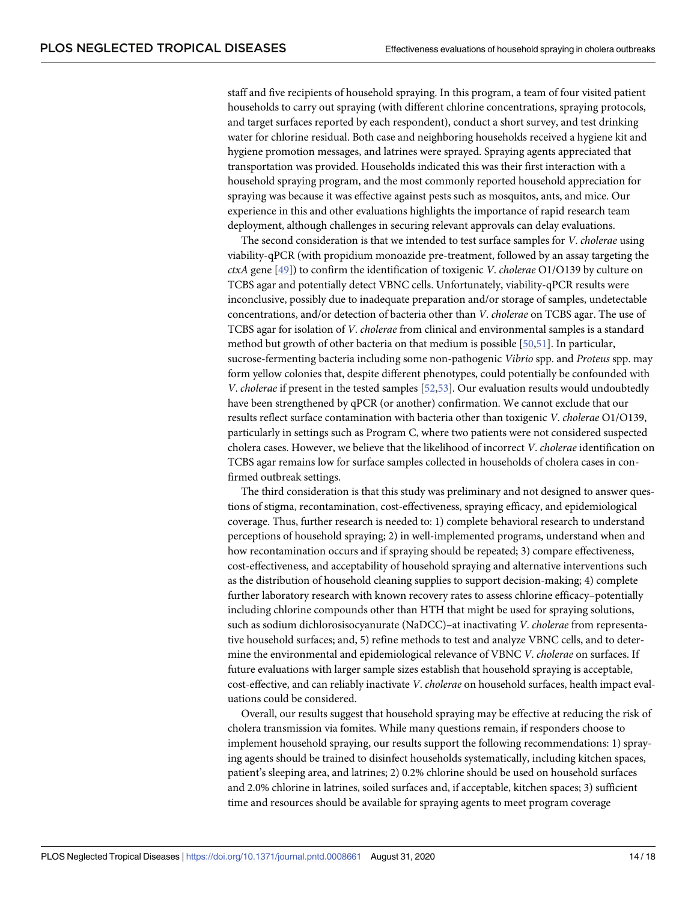<span id="page-13-0"></span>staff and five recipients of household spraying. In this program, a team of four visited patient households to carry out spraying (with different chlorine concentrations, spraying protocols, and target surfaces reported by each respondent), conduct a short survey, and test drinking water for chlorine residual. Both case and neighboring households received a hygiene kit and hygiene promotion messages, and latrines were sprayed. Spraying agents appreciated that transportation was provided. Households indicated this was their first interaction with a household spraying program, and the most commonly reported household appreciation for spraying was because it was effective against pests such as mosquitos, ants, and mice. Our experience in this and other evaluations highlights the importance of rapid research team deployment, although challenges in securing relevant approvals can delay evaluations.

The second consideration is that we intended to test surface samples for *V*. *cholerae* using viability-qPCR (with propidium monoazide pre-treatment, followed by an assay targeting the *ctxA* gene [[49](#page-17-0)]) to confirm the identification of toxigenic *V*. *cholerae* O1/O139 by culture on TCBS agar and potentially detect VBNC cells. Unfortunately, viability-qPCR results were inconclusive, possibly due to inadequate preparation and/or storage of samples, undetectable concentrations, and/or detection of bacteria other than *V*. *cholerae* on TCBS agar. The use of TCBS agar for isolation of *V*. *cholerae* from clinical and environmental samples is a standard method but growth of other bacteria on that medium is possible [\[50,51\]](#page-17-0). In particular, sucrose-fermenting bacteria including some non-pathogenic *Vibrio* spp. and *Proteus* spp. may form yellow colonies that, despite different phenotypes, could potentially be confounded with *V*. *cholerae* if present in the tested samples [[52](#page-17-0),[53](#page-17-0)]. Our evaluation results would undoubtedly have been strengthened by qPCR (or another) confirmation. We cannot exclude that our results reflect surface contamination with bacteria other than toxigenic *V*. *cholerae* O1/O139, particularly in settings such as Program C, where two patients were not considered suspected cholera cases. However, we believe that the likelihood of incorrect *V*. *cholerae* identification on TCBS agar remains low for surface samples collected in households of cholera cases in confirmed outbreak settings.

The third consideration is that this study was preliminary and not designed to answer questions of stigma, recontamination, cost-effectiveness, spraying efficacy, and epidemiological coverage. Thus, further research is needed to: 1) complete behavioral research to understand perceptions of household spraying; 2) in well-implemented programs, understand when and how recontamination occurs and if spraying should be repeated; 3) compare effectiveness, cost-effectiveness, and acceptability of household spraying and alternative interventions such as the distribution of household cleaning supplies to support decision-making; 4) complete further laboratory research with known recovery rates to assess chlorine efficacy–potentially including chlorine compounds other than HTH that might be used for spraying solutions, such as sodium dichlorosisocyanurate (NaDCC)–at inactivating *V*. *cholerae* from representative household surfaces; and, 5) refine methods to test and analyze VBNC cells, and to determine the environmental and epidemiological relevance of VBNC *V*. *cholerae* on surfaces. If future evaluations with larger sample sizes establish that household spraying is acceptable, cost-effective, and can reliably inactivate *V*. *cholerae* on household surfaces, health impact evaluations could be considered.

Overall, our results suggest that household spraying may be effective at reducing the risk of cholera transmission via fomites. While many questions remain, if responders choose to implement household spraying, our results support the following recommendations: 1) spraying agents should be trained to disinfect households systematically, including kitchen spaces, patient's sleeping area, and latrines; 2) 0.2% chlorine should be used on household surfaces and 2.0% chlorine in latrines, soiled surfaces and, if acceptable, kitchen spaces; 3) sufficient time and resources should be available for spraying agents to meet program coverage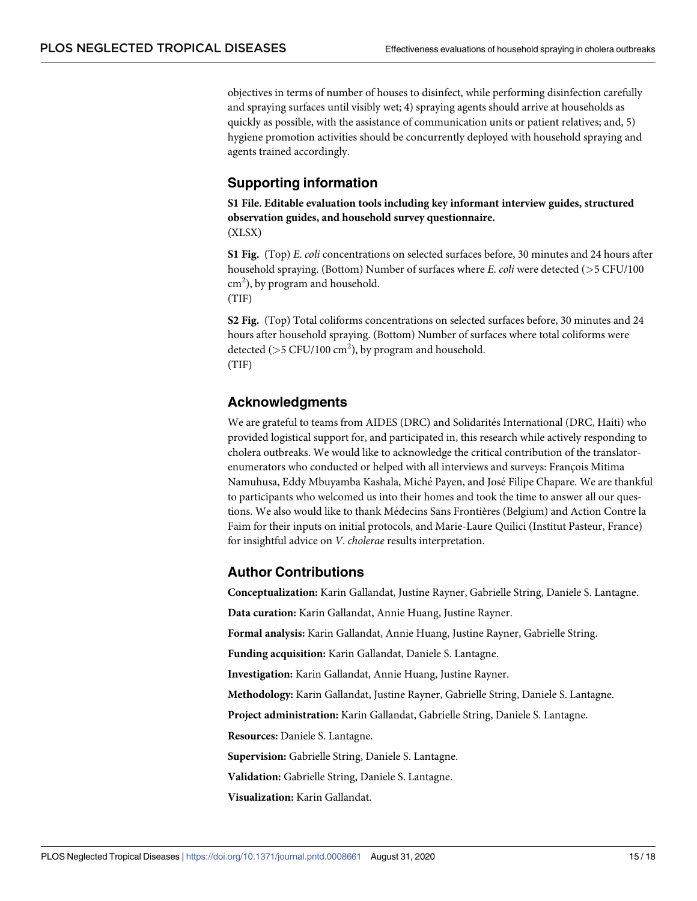<span id="page-14-0"></span>objectives in terms of number of houses to disinfect, while performing disinfection carefully and spraying surfaces until visibly wet; 4) spraying agents should arrive at households as quickly as possible, with the assistance of communication units or patient relatives; and, 5) hygiene promotion activities should be concurrently deployed with household spraying and agents trained accordingly.

# **Supporting information**

**S1 [File.](http://journals.plos.org/plosntds/article/asset?unique&id=info:doi/10.1371/journal.pntd.0008661.s001) Editable evaluation tools including key informant interview guides, structured observation guides, and household survey questionnaire.**

(XLSX)

**S1 [Fig](http://journals.plos.org/plosntds/article/asset?unique&id=info:doi/10.1371/journal.pntd.0008661.s002).** (Top) *E*. *coli* concentrations on selected surfaces before, 30 minutes and 24 hours after household spraying. (Bottom) Number of surfaces where *E*. *coli* were detected (*>*5 CFU/100  $\text{cm}^2$ ), by program and household. (TIF)

**S2 [Fig](http://journals.plos.org/plosntds/article/asset?unique&id=info:doi/10.1371/journal.pntd.0008661.s003).** (Top) Total coliforms concentrations on selected surfaces before, 30 minutes and 24 hours after household spraying. (Bottom) Number of surfaces where total coliforms were detected ( $>$  5 CFU/100 cm<sup>2</sup>), by program and household. (TIF)

## **Acknowledgments**

We are grateful to teams from AIDES (DRC) and Solidarités International (DRC, Haiti) who provided logistical support for, and participated in, this research while actively responding to cholera outbreaks. We would like to acknowledge the critical contribution of the translatorenumerators who conducted or helped with all interviews and surveys: François Mitima Namuhusa, Eddy Mbuyamba Kashala, Miché Payen, and José Filipe Chapare. We are thankful to participants who welcomed us into their homes and took the time to answer all our questions. We also would like to thank Médecins Sans Frontières (Belgium) and Action Contre la Faim for their inputs on initial protocols, and Marie-Laure Quilici (Institut Pasteur, France) for insightful advice on *V*. *cholerae* results interpretation.

#### **Author Contributions**

**Conceptualization:** Karin Gallandat, Justine Rayner, Gabrielle String, Daniele S. Lantagne.

**Data curation:** Karin Gallandat, Annie Huang, Justine Rayner.

**Formal analysis:** Karin Gallandat, Annie Huang, Justine Rayner, Gabrielle String.

**Funding acquisition:** Karin Gallandat, Daniele S. Lantagne.

**Investigation:** Karin Gallandat, Annie Huang, Justine Rayner.

**Methodology:** Karin Gallandat, Justine Rayner, Gabrielle String, Daniele S. Lantagne.

**Project administration:** Karin Gallandat, Gabrielle String, Daniele S. Lantagne.

**Resources:** Daniele S. Lantagne.

**Supervision:** Gabrielle String, Daniele S. Lantagne.

**Validation:** Gabrielle String, Daniele S. Lantagne.

**Visualization:** Karin Gallandat.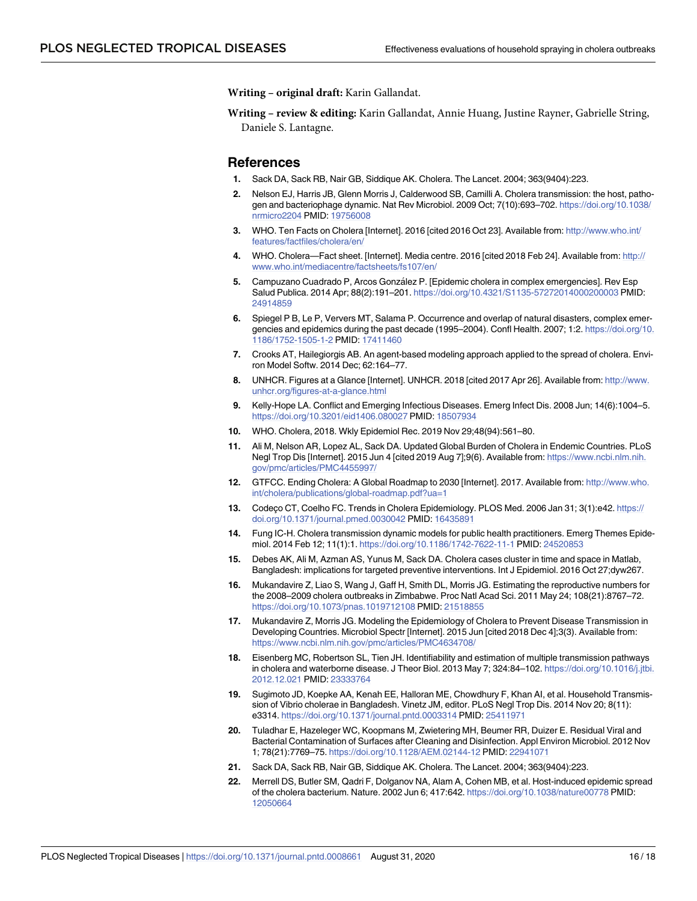<span id="page-15-0"></span>**Writing – original draft:** Karin Gallandat.

**Writing – review & editing:** Karin Gallandat, Annie Huang, Justine Rayner, Gabrielle String, Daniele S. Lantagne.

#### **References**

- **[1](#page-1-0).** Sack DA, Sack RB, Nair GB, Siddique AK. Cholera. The Lancet. 2004; 363(9404):223.
- **[2](#page-1-0).** Nelson EJ, Harris JB, Glenn Morris J, Calderwood SB, Camilli A. Cholera transmission: the host, pathogen and bacteriophage dynamic. Nat Rev Microbiol. 2009 Oct; 7(10):693–702. [https://doi.org/10.1038/](https://doi.org/10.1038/nrmicro2204) [nrmicro2204](https://doi.org/10.1038/nrmicro2204) PMID: [19756008](http://www.ncbi.nlm.nih.gov/pubmed/19756008)
- **[3](#page-1-0).** WHO. Ten Facts on Cholera [Internet]. 2016 [cited 2016 Oct 23]. Available from: [http://www.who.int/](http://www.who.int/features/factfiles/cholera/en/) [features/factfiles/cholera/en/](http://www.who.int/features/factfiles/cholera/en/)
- **[4](#page-1-0).** WHO. Cholera—Fact sheet. [Internet]. Media centre. 2016 [cited 2018 Feb 24]. Available from: [http://](http://www.who.int/mediacentre/factsheets/fs107/en/) [www.who.int/mediacentre/factsheets/fs107/en/](http://www.who.int/mediacentre/factsheets/fs107/en/)
- **5.** Campuzano Cuadrado P, Arcos González P. [Epidemic cholera in complex emergencies]. Rev Esp Salud Publica. 2014 Apr; 88(2):191–201. <https://doi.org/10.4321/S1135-57272014000200003> PMID: [24914859](http://www.ncbi.nlm.nih.gov/pubmed/24914859)
- **6.** Spiegel P B, Le P, Ververs MT, Salama P. Occurrence and overlap of natural disasters, complex emergencies and epidemics during the past decade (1995–2004). Confl Health. 2007; 1:2. [https://doi.org/10.](https://doi.org/10.1186/1752-1505-1-2) [1186/1752-1505-1-2](https://doi.org/10.1186/1752-1505-1-2) PMID: [17411460](http://www.ncbi.nlm.nih.gov/pubmed/17411460)
- **7.** Crooks AT, Hailegiorgis AB. An agent-based modeling approach applied to the spread of cholera. Environ Model Softw. 2014 Dec; 62:164–77.
- **8.** UNHCR. Figures at a Glance [Internet]. UNHCR. 2018 [cited 2017 Apr 26]. Available from: [http://www.](http://www.unhcr.org/figures-at-a-glance.html) [unhcr.org/figures-at-a-glance.html](http://www.unhcr.org/figures-at-a-glance.html)
- **[9](#page-1-0).** Kelly-Hope LA. Conflict and Emerging Infectious Diseases. Emerg Infect Dis. 2008 Jun; 14(6):1004–5. <https://doi.org/10.3201/eid1406.080027> PMID: [18507934](http://www.ncbi.nlm.nih.gov/pubmed/18507934)
- **[10](#page-1-0).** WHO. Cholera, 2018. Wkly Epidemiol Rec. 2019 Nov 29;48(94):561–80.
- **[11](#page-1-0).** Ali M, Nelson AR, Lopez AL, Sack DA. Updated Global Burden of Cholera in Endemic Countries. PLoS Negl Trop Dis [Internet]. 2015 Jun 4 [cited 2019 Aug 7];9(6). Available from: [https://www.ncbi.nlm.nih.](https://www.ncbi.nlm.nih.gov/pmc/articles/PMC4455997/) [gov/pmc/articles/PMC4455997/](https://www.ncbi.nlm.nih.gov/pmc/articles/PMC4455997/)
- **[12](#page-1-0).** GTFCC. Ending Cholera: A Global Roadmap to 2030 [Internet]. 2017. Available from: [http://www.who.](http://www.who.int/cholera/publications/global-roadmap.pdf?ua=1) [int/cholera/publications/global-roadmap.pdf?ua=1](http://www.who.int/cholera/publications/global-roadmap.pdf?ua=1)
- [13](#page-1-0). Codeco CT, Coelho FC. Trends in Cholera Epidemiology. PLOS Med. 2006 Jan 31; 3(1):e42. [https://](https://doi.org/10.1371/journal.pmed.0030042) [doi.org/10.1371/journal.pmed.0030042](https://doi.org/10.1371/journal.pmed.0030042) PMID: [16435891](http://www.ncbi.nlm.nih.gov/pubmed/16435891)
- **[14](#page-1-0).** Fung IC-H. Cholera transmission dynamic models for public health practitioners. Emerg Themes Epidemiol. 2014 Feb 12; 11(1):1. <https://doi.org/10.1186/1742-7622-11-1> PMID: [24520853](http://www.ncbi.nlm.nih.gov/pubmed/24520853)
- **[15](#page-1-0).** Debes AK, Ali M, Azman AS, Yunus M, Sack DA. Cholera cases cluster in time and space in Matlab, Bangladesh: implications for targeted preventive interventions. Int J Epidemiol. 2016 Oct 27;dyw267.
- **16.** Mukandavire Z, Liao S, Wang J, Gaff H, Smith DL, Morris JG. Estimating the reproductive numbers for the 2008–2009 cholera outbreaks in Zimbabwe. Proc Natl Acad Sci. 2011 May 24; 108(21):8767–72. <https://doi.org/10.1073/pnas.1019712108> PMID: [21518855](http://www.ncbi.nlm.nih.gov/pubmed/21518855)
- **17.** Mukandavire Z, Morris JG. Modeling the Epidemiology of Cholera to Prevent Disease Transmission in Developing Countries. Microbiol Spectr [Internet]. 2015 Jun [cited 2018 Dec 4];3(3). Available from: <https://www.ncbi.nlm.nih.gov/pmc/articles/PMC4634708/>
- **[18](#page-1-0).** Eisenberg MC, Robertson SL, Tien JH. Identifiability and estimation of multiple transmission pathways in cholera and waterborne disease. J Theor Biol. 2013 May 7; 324:84–102. [https://doi.org/10.1016/j.jtbi.](https://doi.org/10.1016/j.jtbi.2012.12.021) [2012.12.021](https://doi.org/10.1016/j.jtbi.2012.12.021) PMID: [23333764](http://www.ncbi.nlm.nih.gov/pubmed/23333764)
- **[19](#page-1-0).** Sugimoto JD, Koepke AA, Kenah EE, Halloran ME, Chowdhury F, Khan AI, et al. Household Transmission of Vibrio cholerae in Bangladesh. Vinetz JM, editor. PLoS Negl Trop Dis. 2014 Nov 20; 8(11): e3314. <https://doi.org/10.1371/journal.pntd.0003314> PMID: [25411971](http://www.ncbi.nlm.nih.gov/pubmed/25411971)
- **[20](#page-1-0).** Tuladhar E, Hazeleger WC, Koopmans M, Zwietering MH, Beumer RR, Duizer E. Residual Viral and Bacterial Contamination of Surfaces after Cleaning and Disinfection. Appl Environ Microbiol. 2012 Nov 1; 78(21):7769–75. <https://doi.org/10.1128/AEM.02144-12> PMID: [22941071](http://www.ncbi.nlm.nih.gov/pubmed/22941071)
- **[21](#page-1-0).** Sack DA, Sack RB, Nair GB, Siddique AK. Cholera. The Lancet. 2004; 363(9404):223.
- **[22](#page-1-0).** Merrell DS, Butler SM, Qadri F, Dolganov NA, Alam A, Cohen MB, et al. Host-induced epidemic spread of the cholera bacterium. Nature. 2002 Jun 6; 417:642. <https://doi.org/10.1038/nature00778> PMID: [12050664](http://www.ncbi.nlm.nih.gov/pubmed/12050664)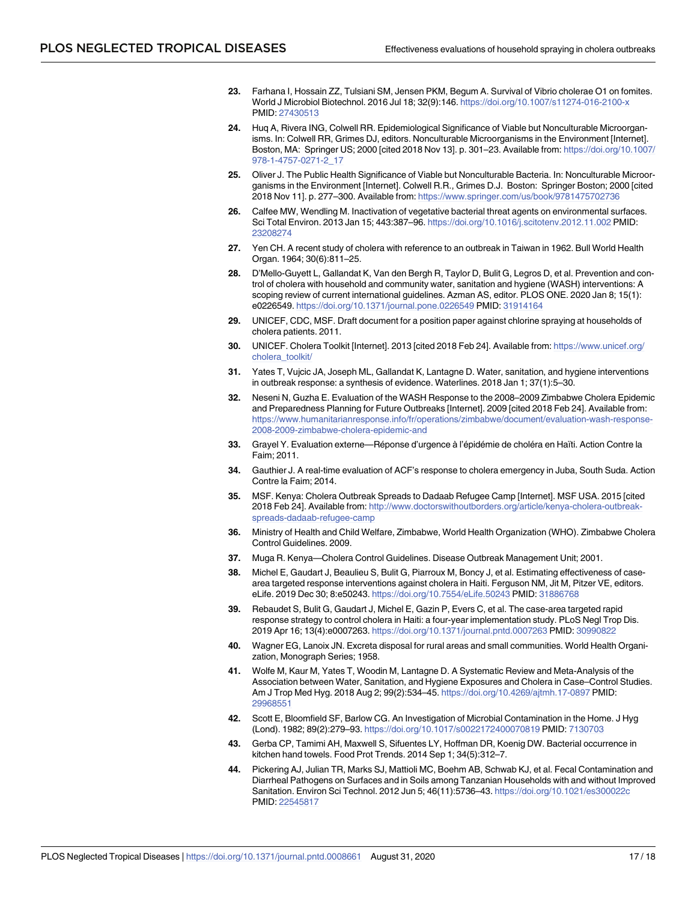- <span id="page-16-0"></span>**[23](#page-1-0).** Farhana I, Hossain ZZ, Tulsiani SM, Jensen PKM, Begum A. Survival of Vibrio cholerae O1 on fomites. World J Microbiol Biotechnol. 2016 Jul 18; 32(9):146. <https://doi.org/10.1007/s11274-016-2100-x> PMID: [27430513](http://www.ncbi.nlm.nih.gov/pubmed/27430513)
- **[24](#page-1-0).** Huq A, Rivera ING, Colwell RR. Epidemiological Significance of Viable but Nonculturable Microorganisms. In: Colwell RR, Grimes DJ, editors. Nonculturable Microorganisms in the Environment [Internet]. Boston, MA: Springer US; 2000 [cited 2018 Nov 13]. p. 301–23. Available from: [https://doi.org/10.1007/](https://doi.org/10.1007/978-1-4757-0271-2_17) [978-1-4757-0271-2\\_17](https://doi.org/10.1007/978-1-4757-0271-2_17)
- **[25](#page-1-0).** Oliver J. The Public Health Significance of Viable but Nonculturable Bacteria. In: Nonculturable Microorganisms in the Environment [Internet]. Colwell R.R., Grimes D.J. Boston: Springer Boston; 2000 [cited 2018 Nov 11]. p. 277–300. Available from: <https://www.springer.com/us/book/9781475702736>
- **[26](#page-2-0).** Calfee MW, Wendling M. Inactivation of vegetative bacterial threat agents on environmental surfaces. Sci Total Environ. 2013 Jan 15; 443:387–96. <https://doi.org/10.1016/j.scitotenv.2012.11.002> PMID: [23208274](http://www.ncbi.nlm.nih.gov/pubmed/23208274)
- **[27](#page-2-0).** Yen CH. A recent study of cholera with reference to an outbreak in Taiwan in 1962. Bull World Health Organ. 1964; 30(6):811–25.
- **[28](#page-2-0).** D'Mello-Guyett L, Gallandat K, Van den Bergh R, Taylor D, Bulit G, Legros D, et al. Prevention and control of cholera with household and community water, sanitation and hygiene (WASH) interventions: A scoping review of current international guidelines. Azman AS, editor. PLOS ONE. 2020 Jan 8; 15(1): e0226549. <https://doi.org/10.1371/journal.pone.0226549> PMID: [31914164](http://www.ncbi.nlm.nih.gov/pubmed/31914164)
- **[29](#page-2-0).** UNICEF, CDC, MSF. Draft document for a position paper against chlorine spraying at households of cholera patients. 2011.
- **[30](#page-2-0).** UNICEF. Cholera Toolkit [Internet]. 2013 [cited 2018 Feb 24]. Available from: [https://www.unicef.org/](https://www.unicef.org/cholera_toolkit/) [cholera\\_toolkit/](https://www.unicef.org/cholera_toolkit/)
- **[31](#page-2-0).** Yates T, Vujcic JA, Joseph ML, Gallandat K, Lantagne D. Water, sanitation, and hygiene interventions in outbreak response: a synthesis of evidence. Waterlines. 2018 Jan 1; 37(1):5–30.
- **[32](#page-2-0).** Neseni N, Guzha E. Evaluation of the WASH Response to the 2008–2009 Zimbabwe Cholera Epidemic and Preparedness Planning for Future Outbreaks [Internet]. 2009 [cited 2018 Feb 24]. Available from: [https://www.humanitarianresponse.info/fr/operations/zimbabwe/document/evaluation-wash-response-](https://www.humanitarianresponse.info/fr/operations/zimbabwe/document/evaluation-wash-response-2008-2009-zimbabwe-cholera-epidemic-and)[2008-2009-zimbabwe-cholera-epidemic-and](https://www.humanitarianresponse.info/fr/operations/zimbabwe/document/evaluation-wash-response-2008-2009-zimbabwe-cholera-epidemic-and)
- **33.** Grayel Y. Evaluation externe—Réponse d'urgence à l'épidémie de choléra en Haïti. Action Contre la Faim; 2011.
- **34.** Gauthier J. A real-time evaluation of ACF's response to cholera emergency in Juba, South Suda. Action Contre la Faim; 2014.
- **35.** MSF. Kenya: Cholera Outbreak Spreads to Dadaab Refugee Camp [Internet]. MSF USA. 2015 [cited 2018 Feb 24]. Available from: [http://www.doctorswithoutborders.org/article/kenya-cholera-outbreak](http://www.doctorswithoutborders.org/article/kenya-cholera-outbreak-spreads-dadaab-refugee-camp)[spreads-dadaab-refugee-camp](http://www.doctorswithoutborders.org/article/kenya-cholera-outbreak-spreads-dadaab-refugee-camp)
- **36.** Ministry of Health and Child Welfare, Zimbabwe, World Health Organization (WHO). Zimbabwe Cholera Control Guidelines. 2009.
- **[37](#page-2-0).** Muga R. Kenya—Cholera Control Guidelines. Disease Outbreak Management Unit; 2001.
- **[38](#page-2-0).** Michel E, Gaudart J, Beaulieu S, Bulit G, Piarroux M, Boncy J, et al. Estimating effectiveness of casearea targeted response interventions against cholera in Haiti. Ferguson NM, Jit M, Pitzer VE, editors. eLife. 2019 Dec 30; 8:e50243. <https://doi.org/10.7554/eLife.50243> PMID: [31886768](http://www.ncbi.nlm.nih.gov/pubmed/31886768)
- **[39](#page-2-0).** Rebaudet S, Bulit G, Gaudart J, Michel E, Gazin P, Evers C, et al. The case-area targeted rapid response strategy to control cholera in Haiti: a four-year implementation study. PLoS Negl Trop Dis. 2019 Apr 16; 13(4):e0007263. <https://doi.org/10.1371/journal.pntd.0007263> PMID: [30990822](http://www.ncbi.nlm.nih.gov/pubmed/30990822)
- **[40](#page-11-0).** Wagner EG, Lanoix JN. Excreta disposal for rural areas and small communities. World Health Organization, Monograph Series; 1958.
- **[41](#page-11-0).** Wolfe M, Kaur M, Yates T, Woodin M, Lantagne D. A Systematic Review and Meta-Analysis of the Association between Water, Sanitation, and Hygiene Exposures and Cholera in Case–Control Studies. Am J Trop Med Hyg. 2018 Aug 2; 99(2):534–45. <https://doi.org/10.4269/ajtmh.17-0897> PMID: [29968551](http://www.ncbi.nlm.nih.gov/pubmed/29968551)
- **[42](#page-11-0).** Scott E, Bloomfield SF, Barlow CG. An Investigation of Microbial Contamination in the Home. J Hyg (Lond). 1982; 89(2):279–93. <https://doi.org/10.1017/s0022172400070819> PMID: [7130703](http://www.ncbi.nlm.nih.gov/pubmed/7130703)
- **43.** Gerba CP, Tamimi AH, Maxwell S, Sifuentes LY, Hoffman DR, Koenig DW. Bacterial occurrence in kitchen hand towels. Food Prot Trends. 2014 Sep 1; 34(5):312–7.
- **[44](#page-11-0).** Pickering AJ, Julian TR, Marks SJ, Mattioli MC, Boehm AB, Schwab KJ, et al. Fecal Contamination and Diarrheal Pathogens on Surfaces and in Soils among Tanzanian Households with and without Improved Sanitation. Environ Sci Technol. 2012 Jun 5; 46(11):5736–43. <https://doi.org/10.1021/es300022c> PMID: [22545817](http://www.ncbi.nlm.nih.gov/pubmed/22545817)